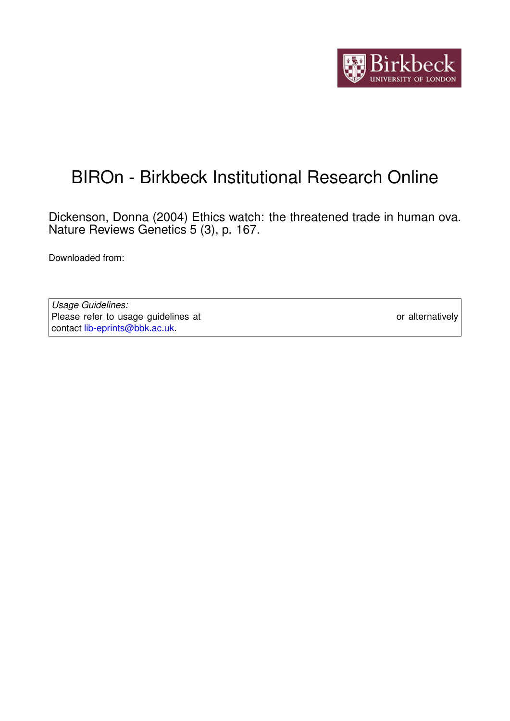

# BIROn - Birkbeck Institutional Research Online

Dickenson, Donna (2004) Ethics watch: the threatened trade in human ova. Nature Reviews Genetics 5 (3), p. 167.

Downloaded from: <https://eprints.bbk.ac.uk/id/eprint/229/>

*Usage Guidelines:* Please refer to usage guidelines at <https://eprints.bbk.ac.uk/policies.html> or alternatively contact [lib-eprints@bbk.ac.uk.](mailto:lib-eprints@bbk.ac.uk)